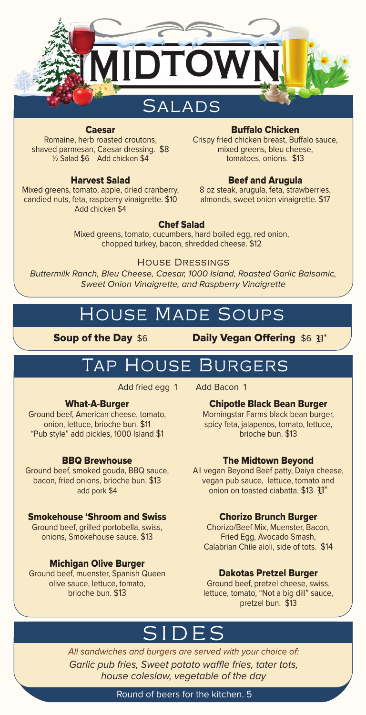

#### Caesar

Romaine, herb roasted croutons, shaved parmesan, Caesar dressing. \$8 ½ Salad \$6 Add chicken \$4

#### Harvest Salad

Mixed greens, tomato, apple, dried cranberry, candied nuts, feta, raspberry vinaigrette. \$10 Add chicken \$4

#### Buffalo Chicken

Crispy fried chicken breast, Buffalo sauce, mixed greens, bleu cheese, tomatoes, onions. \$13

#### Beef and Arugula

8 oz steak, arugula, feta, strawberries, almonds, sweet onion vinaigrette. \$17

#### Chef Salad

Mixed greens, tomato, cucumbers, hard boiled egg, red onion, chopped turkey, bacon, shredded cheese. \$12

#### House Dressings

Buttermilk Ranch, Bleu Cheese, Caesar, 1000 Island, Roasted Garlic Balsamic, Sweet Onion Vinaigrette, and Raspberry Vinaigrette

# House Made Soups

Soup of the Day \$6 Daily Vegan Offering \$6 Fem

# Tap House Burgers

Add fried egg 1 Add Bacon 1

#### What-A-Burger

Ground beef, American cheese, tomato, onion, lettuce, brioche bun. \$11 "Pub style" add pickles, 1000 Island \$1

#### BBQ Brewhouse

Ground beef, smoked gouda, BBQ sauce, bacon, fried onions, brioche bun. \$13 add pork \$4

#### Smokehouse 'Shroom and Swiss

Ground beef, grilled portobella, swiss, onions, Smokehouse sauce. \$13

#### Michigan Olive Burger

Ground beef, muenster, Spanish Queen olive sauce, lettuce, tomato, brioche bun. \$13

Chipotle Black Bean Burger Morningstar Farms black bean burger,

spicy feta, jalapenos, tomato, lettuce, brioche bun. \$13

#### The Midtown Beyond

All vegan Beyond Beef patty, Daiya cheese, vegan pub sauce, lettuce, tomato and onion on toasted ciabatta.  $$13 \text{ }\mathfrak{P}^*$ 

#### Chorizo Brunch Burger

Chorizo/Beef Mix, Muenster, Bacon, Fried Egg, Avocado Smash, Calabrian Chile aioli, side of tots. \$14

#### Dakotas Pretzel Burger

Ground beef, pretzel cheese, swiss, lettuce, tomato, "Not a big dill" sauce, pretzel bun. \$13

# SIDES

All sandwiches and burgers are served with your choice of: Garlic pub fries, Sweet potato waffle fries, tater tots, house coleslaw, vegetable of the day

Round of beers for the kitchen. 5